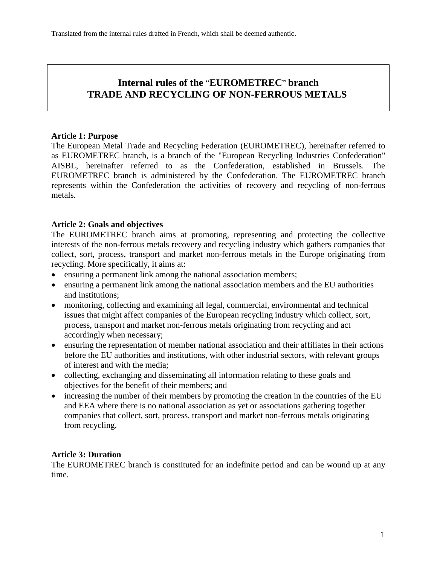# **Internal rules of the** "**EUROMETREC**" **branch TRADE AND RECYCLING OF NON-FERROUS METALS**

#### **Article 1: Purpose**

The European Metal Trade and Recycling Federation (EUROMETREC), hereinafter referred to as EUROMETREC branch, is a branch of the "European Recycling Industries Confederation" AISBL, hereinafter referred to as the Confederation, established in Brussels. The EUROMETREC branch is administered by the Confederation. The EUROMETREC branch represents within the Confederation the activities of recovery and recycling of non-ferrous metals.

# **Article 2: Goals and objectives**

The EUROMETREC branch aims at promoting, representing and protecting the collective interests of the non-ferrous metals recovery and recycling industry which gathers companies that collect, sort, process, transport and market non-ferrous metals in the Europe originating from recycling. More specifically, it aims at:

- ensuring a permanent link among the national association members;
- ensuring a permanent link among the national association members and the EU authorities and institutions;
- monitoring, collecting and examining all legal, commercial, environmental and technical issues that might affect companies of the European recycling industry which collect, sort, process, transport and market non-ferrous metals originating from recycling and act accordingly when necessary;
- ensuring the representation of member national association and their affiliates in their actions before the EU authorities and institutions, with other industrial sectors, with relevant groups of interest and with the media;
- collecting, exchanging and disseminating all information relating to these goals and objectives for the benefit of their members; and
- increasing the number of their members by promoting the creation in the countries of the EU and EEA where there is no national association as yet or associations gathering together companies that collect, sort, process, transport and market non-ferrous metals originating from recycling.

# **Article 3: Duration**

The EUROMETREC branch is constituted for an indefinite period and can be wound up at any time.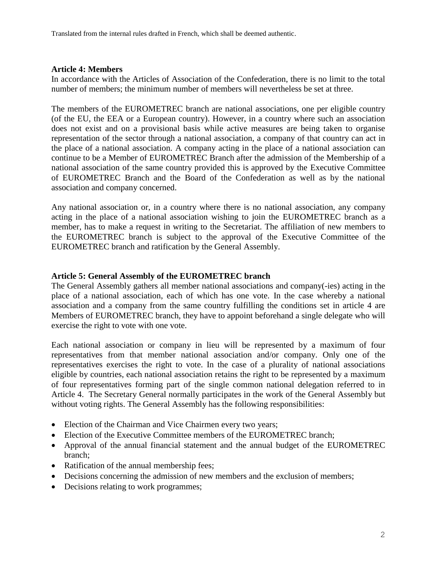Translated from the internal rules drafted in French, which shall be deemed authentic.

## **Article 4: Members**

In accordance with the Articles of Association of the Confederation, there is no limit to the total number of members; the minimum number of members will nevertheless be set at three.

The members of the EUROMETREC branch are national associations, one per eligible country (of the EU, the EEA or a European country). However, in a country where such an association does not exist and on a provisional basis while active measures are being taken to organise representation of the sector through a national association, a company of that country can act in the place of a national association. A company acting in the place of a national association can continue to be a Member of EUROMETREC Branch after the admission of the Membership of a national association of the same country provided this is approved by the Executive Committee of EUROMETREC Branch and the Board of the Confederation as well as by the national association and company concerned.

Any national association or, in a country where there is no national association, any company acting in the place of a national association wishing to join the EUROMETREC branch as a member, has to make a request in writing to the Secretariat. The affiliation of new members to the EUROMETREC branch is subject to the approval of the Executive Committee of the EUROMETREC branch and ratification by the General Assembly.

## **Article 5: General Assembly of the EUROMETREC branch**

The General Assembly gathers all member national associations and company(-ies) acting in the place of a national association, each of which has one vote. In the case whereby a national association and a company from the same country fulfilling the conditions set in article 4 are Members of EUROMETREC branch, they have to appoint beforehand a single delegate who will exercise the right to vote with one vote.

Each national association or company in lieu will be represented by a maximum of four representatives from that member national association and/or company. Only one of the representatives exercises the right to vote. In the case of a plurality of national associations eligible by countries, each national association retains the right to be represented by a maximum of four representatives forming part of the single common national delegation referred to in Article 4. The Secretary General normally participates in the work of the General Assembly but without voting rights. The General Assembly has the following responsibilities:

- Election of the Chairman and Vice Chairmen every two years;
- Election of the Executive Committee members of the EUROMETREC branch:
- Approval of the annual financial statement and the annual budget of the EUROMETREC branch;
- Ratification of the annual membership fees;
- Decisions concerning the admission of new members and the exclusion of members;
- Decisions relating to work programmes;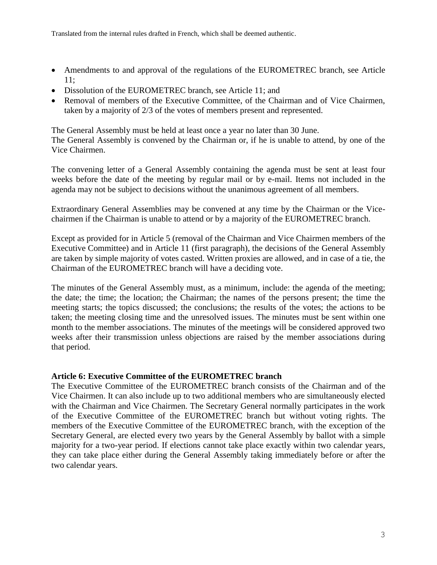- Amendments to and approval of the regulations of the EUROMETREC branch, see Article 11;
- Dissolution of the EUROMETREC branch, see Article 11; and
- Removal of members of the Executive Committee, of the Chairman and of Vice Chairmen, taken by a majority of 2/3 of the votes of members present and represented.

The General Assembly must be held at least once a year no later than 30 June.

The General Assembly is convened by the Chairman or, if he is unable to attend, by one of the Vice Chairmen.

The convening letter of a General Assembly containing the agenda must be sent at least four weeks before the date of the meeting by regular mail or by e-mail. Items not included in the agenda may not be subject to decisions without the unanimous agreement of all members.

Extraordinary General Assemblies may be convened at any time by the Chairman or the Vicechairmen if the Chairman is unable to attend or by a majority of the EUROMETREC branch.

Except as provided for in Article 5 (removal of the Chairman and Vice Chairmen members of the Executive Committee) and in Article 11 (first paragraph), the decisions of the General Assembly are taken by simple majority of votes casted. Written proxies are allowed, and in case of a tie, the Chairman of the EUROMETREC branch will have a deciding vote.

The minutes of the General Assembly must, as a minimum, include: the agenda of the meeting; the date; the time; the location; the Chairman; the names of the persons present; the time the meeting starts; the topics discussed; the conclusions; the results of the votes; the actions to be taken; the meeting closing time and the unresolved issues. The minutes must be sent within one month to the member associations. The minutes of the meetings will be considered approved two weeks after their transmission unless objections are raised by the member associations during that period.

#### **Article 6: Executive Committee of the EUROMETREC branch**

The Executive Committee of the EUROMETREC branch consists of the Chairman and of the Vice Chairmen. It can also include up to two additional members who are simultaneously elected with the Chairman and Vice Chairmen. The Secretary General normally participates in the work of the Executive Committee of the EUROMETREC branch but without voting rights. The members of the Executive Committee of the EUROMETREC branch, with the exception of the Secretary General, are elected every two years by the General Assembly by ballot with a simple majority for a two-year period. If elections cannot take place exactly within two calendar years, they can take place either during the General Assembly taking immediately before or after the two calendar years.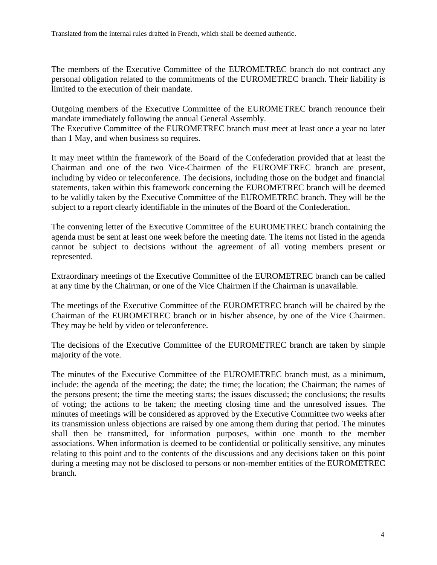The members of the Executive Committee of the EUROMETREC branch do not contract any personal obligation related to the commitments of the EUROMETREC branch. Their liability is limited to the execution of their mandate.

Outgoing members of the Executive Committee of the EUROMETREC branch renounce their mandate immediately following the annual General Assembly.

The Executive Committee of the EUROMETREC branch must meet at least once a year no later than 1 May, and when business so requires.

It may meet within the framework of the Board of the Confederation provided that at least the Chairman and one of the two Vice-Chairmen of the EUROMETREC branch are present, including by video or teleconference. The decisions, including those on the budget and financial statements, taken within this framework concerning the EUROMETREC branch will be deemed to be validly taken by the Executive Committee of the EUROMETREC branch. They will be the subject to a report clearly identifiable in the minutes of the Board of the Confederation.

The convening letter of the Executive Committee of the EUROMETREC branch containing the agenda must be sent at least one week before the meeting date. The items not listed in the agenda cannot be subject to decisions without the agreement of all voting members present or represented.

Extraordinary meetings of the Executive Committee of the EUROMETREC branch can be called at any time by the Chairman, or one of the Vice Chairmen if the Chairman is unavailable.

The meetings of the Executive Committee of the EUROMETREC branch will be chaired by the Chairman of the EUROMETREC branch or in his/her absence, by one of the Vice Chairmen. They may be held by video or teleconference.

The decisions of the Executive Committee of the EUROMETREC branch are taken by simple majority of the vote.

The minutes of the Executive Committee of the EUROMETREC branch must, as a minimum, include: the agenda of the meeting; the date; the time; the location; the Chairman; the names of the persons present; the time the meeting starts; the issues discussed; the conclusions; the results of voting; the actions to be taken; the meeting closing time and the unresolved issues. The minutes of meetings will be considered as approved by the Executive Committee two weeks after its transmission unless objections are raised by one among them during that period. The minutes shall then be transmitted, for information purposes, within one month to the member associations. When information is deemed to be confidential or politically sensitive, any minutes relating to this point and to the contents of the discussions and any decisions taken on this point during a meeting may not be disclosed to persons or non-member entities of the EUROMETREC branch.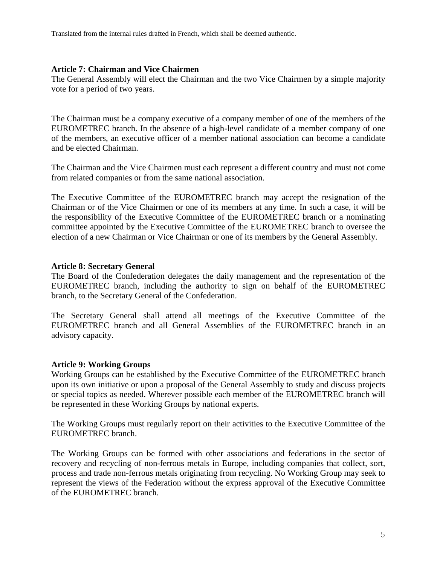Translated from the internal rules drafted in French, which shall be deemed authentic.

#### **Article 7: Chairman and Vice Chairmen**

The General Assembly will elect the Chairman and the two Vice Chairmen by a simple majority vote for a period of two years.

The Chairman must be a company executive of a company member of one of the members of the EUROMETREC branch. In the absence of a high-level candidate of a member company of one of the members, an executive officer of a member national association can become a candidate and be elected Chairman.

The Chairman and the Vice Chairmen must each represent a different country and must not come from related companies or from the same national association.

The Executive Committee of the EUROMETREC branch may accept the resignation of the Chairman or of the Vice Chairmen or one of its members at any time. In such a case, it will be the responsibility of the Executive Committee of the EUROMETREC branch or a nominating committee appointed by the Executive Committee of the EUROMETREC branch to oversee the election of a new Chairman or Vice Chairman or one of its members by the General Assembly.

#### **Article 8: Secretary General**

The Board of the Confederation delegates the daily management and the representation of the EUROMETREC branch, including the authority to sign on behalf of the EUROMETREC branch, to the Secretary General of the Confederation.

The Secretary General shall attend all meetings of the Executive Committee of the EUROMETREC branch and all General Assemblies of the EUROMETREC branch in an advisory capacity.

#### **Article 9: Working Groups**

Working Groups can be established by the Executive Committee of the EUROMETREC branch upon its own initiative or upon a proposal of the General Assembly to study and discuss projects or special topics as needed. Wherever possible each member of the EUROMETREC branch will be represented in these Working Groups by national experts.

The Working Groups must regularly report on their activities to the Executive Committee of the EUROMETREC branch.

The Working Groups can be formed with other associations and federations in the sector of recovery and recycling of non-ferrous metals in Europe, including companies that collect, sort, process and trade non-ferrous metals originating from recycling. No Working Group may seek to represent the views of the Federation without the express approval of the Executive Committee of the EUROMETREC branch.